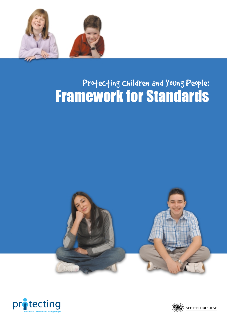

# Profecting Children and Young People: Framework for Standards





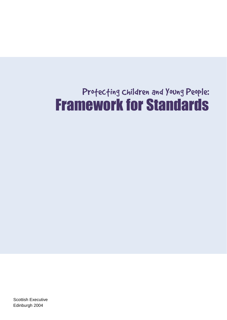# Profecting Children and Young People: Framework for Standards

Scottish Executive Edinburgh 2004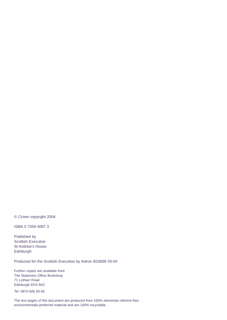© Crown copyright 2004

ISBN 0 7559 4087 3

Published by Scottish Executive St Andrew's House Edinburgh

Produced for the Scottish Executive by Astron B33696 03-04

Further copies are available from The Stationery Office Bookshop 71 Lothian Road Edinburgh EH3 9AZ

Tel: 0870 606 55 66

The text pages of this document are produced from 100% elemental chlorine-free, environmentally-preferred material and are 100% recyclable.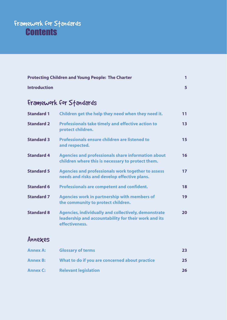#### Framework for Sfandards for Child Protectional Standards for Child Protection **Contents** Standards **Contents**

| <b>Protecting Children and Young People: The Charter</b> |                                                                                                                                       | 1               |
|----------------------------------------------------------|---------------------------------------------------------------------------------------------------------------------------------------|-----------------|
| <b>Introduction</b>                                      |                                                                                                                                       | 5               |
| Framework for Standards                                  |                                                                                                                                       |                 |
| <b>Standard 1</b>                                        | Children get the help they need when they need it.                                                                                    | 11              |
| <b>Standard 2</b>                                        | <b>Professionals take timely and effective action to</b><br>protect children.                                                         | 13              |
| <b>Standard 3</b>                                        | <b>Professionals ensure children are listened to</b><br>and respected.                                                                | 15              |
| <b>Standard 4</b>                                        | <b>Agencies and professionals share information about</b><br>children where this is necessary to protect them.                        | 16              |
| <b>Standard 5</b>                                        | <b>Agencies and professionals work together to assess</b><br>needs and risks and develop effective plans.                             | 17 <sup>2</sup> |
| <b>Standard 6</b>                                        | <b>Professionals are competent and confident.</b>                                                                                     | 18              |
| <b>Standard 7</b>                                        | <b>Agencies work in partnership with members of</b><br>the community to protect children.                                             | 19              |
| <b>Standard 8</b>                                        | <b>Agencies, individually and collectively, demonstrate</b><br>leadership and accountability for their work and its<br>effectiveness. | 20              |

# Annexes

| <b>Annex A:</b> | <b>Glossary of terms</b>                       | 23 |
|-----------------|------------------------------------------------|----|
| <b>Annex B:</b> | What to do if you are concerned about practice | 25 |
| <b>Annex C:</b> | <b>Relevant legislation</b>                    | 26 |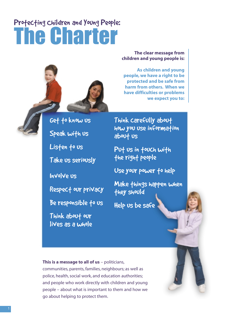# Profecting Children and Young People: The Charter



Get to know us

Speak with us

Listen to us

Take us seriously

Involve us

Respect our privacy

Be responsible to us

Think about our lives as a whole

**The clear message from children and young people is:**

**As children and young people, we have a right to be protected and be safe from harm from others. When we have difficulties or problems we expect you to:**

Think carefully about how you use information about us

Put us in fouch with the right people

Use your power to help

Make things happen when they should

Help us be safe

**This is a message to all of us** – politicians, communities, parents, families, neighbours; as well as police, health, social work, and education authorities; and people who work directly with children and young people – about what is important to them and how we go about helping to protect them.

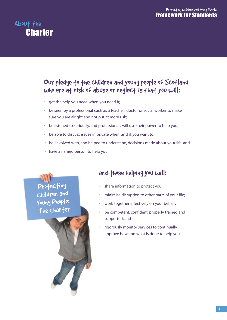#### Profecting children and Young People: Framework for Standards

# About the **Charter**

### Our pledge to the children and young people of Scotland who are at risk of abuse or neglect is that you will:

- get the help you need when you need it;
- be seen by a professional such as a teacher, doctor or social worker to make sure you are alright and not put at more risk;
- be listened to seriously, and professionals will use their power to help you;
- be able to discuss issues in private when, and if, you want to;
- be involved with, and helped to understand, decisions made about your life; and
- have a named person to help you.

# Protecting Children and Young People: The Charter

#### and those helping you will:

- share information to protect you;
- minimise disruption to other parts of your life;
- work together effectively on your behalf;
- be competent, confident, properly trained and supported; and
- rigorously monitor services to continually improve how and what is done to help you.

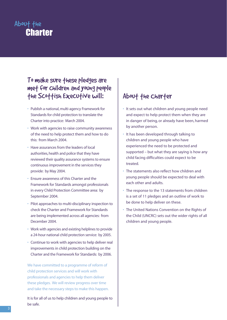# About the **Charter**

#### To make sure these pledges are met for children and young people the Scottish Executive will:

- Publish a national, multi-agency Framework for Standards for child protection to translate the Charter into practice: March 2004.
- Work with agencies to raise community awareness of the need to help protect them and how to do this: from March 2004.
- Have assurances from the leaders of local authorities, health and police that they have reviewed their quality assurance systems to ensure continuous improvement in the services they provide: by May 2004.
- Ensure awareness of this Charter and the Framework for Standards amongst professionals in every Child Protection Committee area: by September 2004.
- Pilot approaches to multi-disciplinary inspection to check the Charter and Framework for Standards are being implemented across all agencies: from December 2004.
- Work with agencies and existing helplines to provide a 24-hour national child protection service: by 2005.
- Continue to work with agencies to help deliver real improvements in child protection building on the Charter and the Framework for Standards: by 2006.

We have committed to a programme of reform of child protection services and will work with professionals and agencies to help them deliver these pledges. We will review progress over time and take the necessary steps to make this happen.

It is for all of us to help children and young people to be safe.

# About the Charter

- It sets out what children and young people need and expect to help protect them when they are in danger of being, or already have been, harmed by another person.
- It has been developed through talking to children and young people who have experienced the need to be protected and supported – but what they are saying is how any child facing difficulties could expect to be treated.
- The statements also reflect how children and young people should be expected to deal with each other and adults.
- The response to the 13 statements from children is a set of 11 pledges and an outline of work to be done to help deliver on these.
- The United Nations Convention on the Rights of the Child (UNCRC) sets out the wider rights of all children and young people.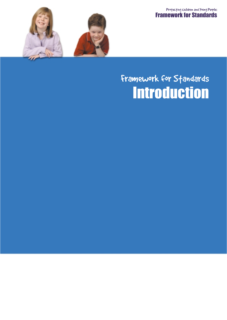Profecting children and Young People: Framework for Standards



# **Introduction** Framework for Standards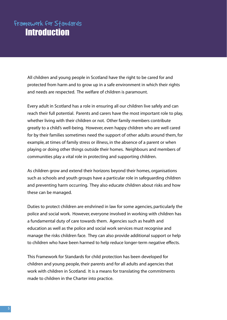# Framework for Standards **Introduction**

All children and young people in Scotland have the right to be cared for and protected from harm and to grow up in a safe environment in which their rights and needs are respected. The welfare of children is paramount.

Every adult in Scotland has a role in ensuring all our children live safely and can reach their full potential. Parents and carers have the most important role to play, whether living with their children or not. Other family members contribute greatly to a child's well-being. However, even happy children who are well cared for by their families sometimes need the support of other adults around them, for example, at times of family stress or illness, in the absence of a parent or when playing or doing other things outside their homes. Neighbours and members of communities play a vital role in protecting and supporting children.

As children grow and extend their horizons beyond their homes, organisations such as schools and youth groups have a particular role in safeguarding children and preventing harm occurring. They also educate children about risks and how these can be managed.

Duties to protect children are enshrined in law for some agencies, particularly the police and social work. However, everyone involved in working with children has a fundamental duty of care towards them. Agencies such as health and education as well as the police and social work services must recognise and manage the risks children face. They can also provide additional support or help to children who have been harmed to help reduce longer-term negative effects.

This Framework for Standards for child protection has been developed for children and young people, their parents and for all adults and agencies that work with children in Scotland. It is a means for translating the commitments made to children in the Charter into practice.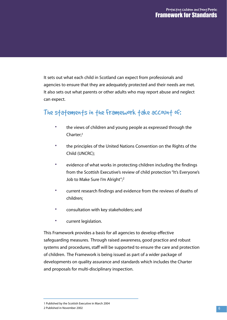#### Profecting children and Young People: Framework for Standards

It sets out what each child in Scotland can expect from professionals and agencies to ensure that they are adequately protected and their needs are met. It also sets out what parents or other adults who may report abuse and neglect can expect.

#### The statements in the Framework take account of:

- the views of children and young people as expressed through the Charter;1
- the principles of the United Nations Convention on the Rights of the Child (UNCRC);
- evidence of what works in protecting children including the findings from the Scottish Executive's review of child protection "It's Everyone's Job to Make Sure I'm Alright";<sup>2</sup>
- current research findings and evidence from the reviews of deaths of children;
- consultation with key stakeholders; and
- current legislation.

This Framework provides a basis for all agencies to develop effective safeguarding measures. Through raised awareness, good practice and robust systems and procedures, staff will be supported to ensure the care and protection of children. The Framework is being issued as part of a wider package of developments on quality assurance and standards which includes the Charter and proposals for multi-disciplinary inspection.

1 Published by the Scottish Executive in March 2004 2 Published in November 2002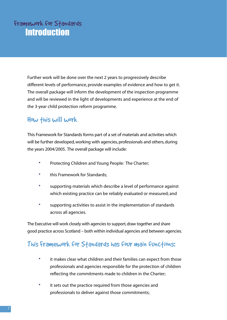Further work will be done over the next 2 years to progressively describe different levels of performance, provide examples of evidence and how to get it. The overall package will inform the development of the inspection programme and will be reviewed in the light of developments and experience at the end of the 3-year child protection reform programme.

#### How this will work

This Framework for Standards forms part of a set of materials and activities which will be further developed, working with agencies, professionals and others, during the years 2004/2005. The overall package will include:

- Protecting Children and Young People: The Charter;
- this Framework for Standards;
- supporting materials which describe a level of performance against which existing practice can be reliably evaluated or measured; and
- supporting activities to assist in the implementation of standards across all agencies.

The Executive will work closely with agencies to support, draw together and share good practice across Scotland – both within individual agencies and between agencies.

#### This Framework for Standards has four main functions:

- it makes clear what children and their families can expect from those professionals and agencies responsible for the protection of children reflecting the commitments made to children in the Charter;
- it sets out the practice required from those agencies and professionals to deliver against those commitments;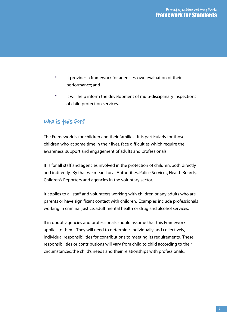- it provides a framework for agencies' own evaluation of their performance; and
- it will help inform the development of multi-disciplinary inspections of child protection services.

#### Who is this for?

The Framework is for children and their families. It is particularly for those children who, at some time in their lives, face difficulties which require the awareness, support and engagement of adults and professionals.

It is for all staff and agencies involved in the protection of children, both directly and indirectly. By that we mean Local Authorities, Police Services, Health Boards, Children's Reporters and agencies in the voluntary sector.

It applies to all staff and volunteers working with children or any adults who are parents or have significant contact with children. Examples include professionals working in criminal justice, adult mental health or drug and alcohol services.

If in doubt, agencies and professionals should assume that this Framework applies to them. They will need to determine, individually and collectively, individual responsibilities for contributions to meeting its requirements. These responsibilities or contributions will vary from child to child according to their circumstances, the child's needs and their relationships with professionals.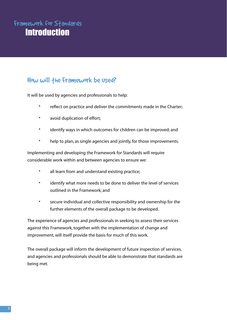# Framework for Standards **Introduction**

### How will the Framework be used?

It will be used by agencies and professionals to help:

- reflect on practice and deliver the commitments made in the Charter;
- avoid duplication of effort;
- identify ways in which outcomes for children can be improved; and
- help to plan, as single agencies and jointly, for those improvements.

Implementing and developing the Framework for Standards will require considerable work within and between agencies to ensure we:

- all learn from and understand existing practice;
- identify what more needs to be done to deliver the level of services outlined in the Framework; and
- secure individual and collective responsibility and ownership for the further elements of the overall package to be developed.

The experience of agencies and professionals in seeking to assess their services against this Framework, together with the implementation of change and improvement, will itself provide the basis for much of this work.

The overall package will inform the development of future inspection of services, and agencies and professionals should be able to demonstrate that standards are being met.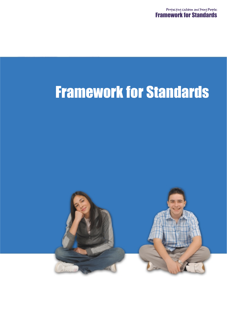# Framework for Standards

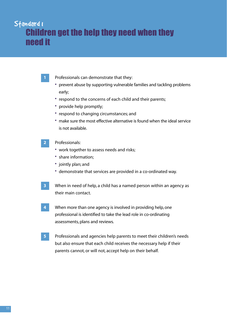# Standard I Children get the help they need when they need it

- **1** Professionals can demonstrate that they:
	- prevent abuse by supporting vulnerable families and tackling problems early;
- respond to the concerns of each child and their parents;
- provide help promptly;
- respond to changing circumstances; and
- make sure the most effective alternative is found when the ideal service is not available.

#### **2** Professionals:

- work together to assess needs and risks;
- share information;
- jointly plan; and
- demonstrate that services are provided in a co-ordinated way.
- **3** When in need of help, a child has a named person within an agency as their main contact.
- **4** When more than one agency is involved in providing help, one professional is identified to take the lead role in co-ordinating assessments, plans and reviews.
- **5** Professionals and agencies help parents to meet their children's needs but also ensure that each child receives the necessary help if their parents cannot, or will not, accept help on their behalf.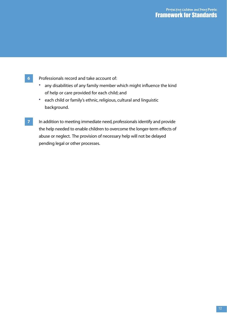#### Profecting Children and Young People: Framework for Standards

- **6** Professionals record and take account of:
	- any disabilities of any family member which might influence the kind of help or care provided for each child; and
	- each child or family's ethnic, religious, cultural and linguistic background.
- **7** In addition to meeting immediate need, professionals identify and provide the help needed to enable children to overcome the longer-term effects of abuse or neglect. The provision of necessary help will not be delayed pending legal or other processes.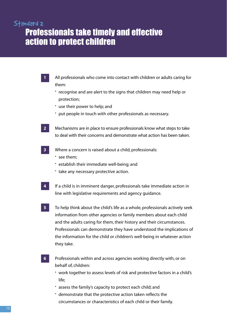# Standard 2 Professionals take timely and effective action to protect children

- **1** All professionals who come into contact with children or adults caring for them: • recognise and are alert to the signs that children may need help or protection; • use their power to help; and • put people in touch with other professionals as necessary. **2** Mechanisms are in place to ensure professionals know what steps to take to deal with their concerns and demonstrate what action has been taken. **3** Where a concern is raised about a child, professionals: • see them; • establish their immediate well-being; and • take any necessary protective action. **4** If a child is in imminent danger, professionals take immediate action in line with legislative requirements and agency guidance. **5** To help think about the child's life as a whole, professionals actively seek information from other agencies or family members about each child and the adults caring for them, their history and their circumstances. Professionals can demonstrate they have understood the implications of the information for the child or children's well-being in whatever action they take. **6** Professionals within and across agencies working directly with, or on behalf of, children:
	- work together to assess levels of risk and protective factors in a child's life;
	- assess the family's capacity to protect each child; and
	- demonstrate that the protective action taken reflects the circumstances or characteristics of each child or their family.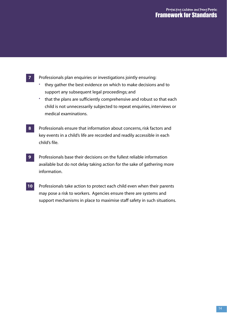#### Profecting children and Young People: Framework for Standards

- **7** Professionals plan enquiries or investigations jointly ensuring:
	- they gather the best evidence on which to make decisions and to support any subsequent legal proceedings; and
	- that the plans are sufficiently comprehensive and robust so that each child is not unnecessarily subjected to repeat enquiries, interviews or medical examinations.
- **8** Professionals ensure that information about concerns, risk factors and key events in a child's life are recorded and readily accessible in each child's file.
- **9** Professionals base their decisions on the fullest reliable information available but do not delay taking action for the sake of gathering more information.
- **10** Professionals take action to protect each child even when their parents may pose a risk to workers. Agencies ensure there are systems and support mechanisms in place to maximise staff safety in such situations.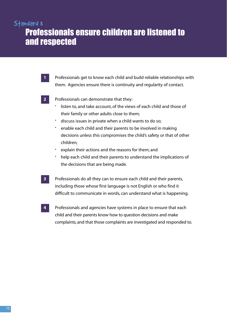# Standard 3 Professionals ensure children are listened to and respected

- **1** Professionals get to know each child and build reliable relationships with them. Agencies ensure there is continuity and regularity of contact.
- 

**2** Professionals can demonstrate that they:

- listen to, and take account, of the views of each child and those of their family or other adults close to them;
- discuss issues in private when a child wants to do so;
- enable each child and their parents to be involved in making decisions unless this compromises the child's safety or that of other children;
- explain their actions and the reasons for them; and
- help each child and their parents to understand the implications of the decisions that are being made.
- **3** Professionals do all they can to ensure each child and their parents, including those whose first language is not English or who find it difficult to communicate in words, can understand what is happening.
- **4** Professionals and agencies have systems in place to ensure that each child and their parents know how to question decisions and make complaints, and that those complaints are investigated and responded to.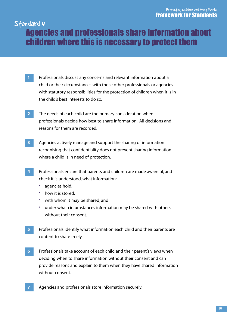# Standard 4 Agencies and professionals share information about children where this is necessary to protect them

- **1** Professionals discuss any concerns and relevant information about a child or their circumstances with those other professionals or agencies with statutory responsibilities for the protection of children when it is in the child's best interests to do so.
- **2** The needs of each child are the primary consideration when professionals decide how best to share information. All decisions and reasons for them are recorded.
- **3** Agencies actively manage and support the sharing of information recognising that confidentiality does not prevent sharing information where a child is in need of protection.
- **4** Professionals ensure that parents and children are made aware of, and check it is understood, what information:
	- agencies hold;
	- how it is stored;
	- with whom it may be shared; and
	- under what circumstances information may be shared with others without their consent.
- **5** Professionals identify what information each child and their parents are content to share freely.
- **6** Professionals take account of each child and their parent's views when deciding when to share information without their consent and can provide reasons and explain to them when they have shared information without consent.
- **7** Agencies and professionals store information securely.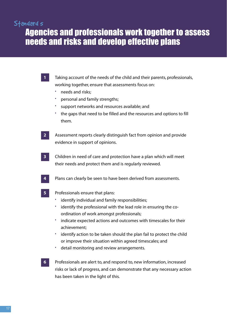#### Standard s

Agencies and professionals work together to assess needs and risks and develop effective plans

- **1** Taking account of the needs of the child and their parents, professionals, working together, ensure that assessments focus on:
	- needs and risks;
	- personal and family strengths;
	- support networks and resources available; and
	- the gaps that need to be filled and the resources and options to fill them.
- **2** Assessment reports clearly distinguish fact from opinion and provide evidence in support of opinions.
- **3** Children in need of care and protection have a plan which will meet their needs and protect them and is regularly reviewed.
- **4** Plans can clearly be seen to have been derived from assessments.
- 

**5** Professionals ensure that plans:

- identify individual and family responsibilities;
- identify the professional with the lead role in ensuring the coordination of work amongst professionals;
- indicate expected actions and outcomes with timescales for their achievement;
- identify action to be taken should the plan fail to protect the child or improve their situation within agreed timescales; and
- detail monitoring and review arrangements.
- 
- **6** Professionals are alert to, and respond to, new information, increased risks or lack of progress, and can demonstrate that any necessary action has been taken in the light of this.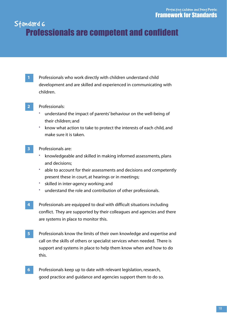# Standard 6 Professionals are competent and confident

**1** Professionals who work directly with children understand child development and are skilled and experienced in communicating with children.

#### **2** Professionals:

- understand the impact of parents' behaviour on the well-being of their children; and
- know what action to take to protect the interests of each child, and make sure it is taken.
- **3** Professionals are:
	- knowledgeable and skilled in making informed assessments, plans and decisions;
	- able to account for their assessments and decisions and competently present these in court, at hearings or in meetings;
	- skilled in inter-agency working; and
	- understand the role and contribution of other professionals.
- **4** Professionals are equipped to deal with difficult situations including conflict. They are supported by their colleagues and agencies and there are systems in place to monitor this.
- **5** Professionals know the limits of their own knowledge and expertise and call on the skills of others or specialist services when needed. There is support and systems in place to help them know when and how to do this.
- **6** Professionals keep up to date with relevant legislation, research, good practice and guidance and agencies support them to do so.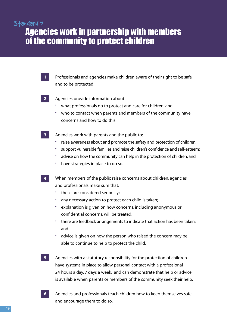# Standard 7 Agencies work in partnership with members of the community to protect children

- **1** Professionals and agencies make children aware of their right to be safe and to be protected.
- **2** Agencies provide information about:
	- what professionals do to protect and care for children; and
	- who to contact when parents and members of the community have concerns and how to do this.
- **3** Agencies work with parents and the public to:
	- raise awareness about and promote the safety and protection of children;
	- support vulnerable families and raise children's confidence and self-esteem;
	- advise on how the community can help in the protection of children; and
	- have strategies in place to do so.
- **4** When members of the public raise concerns about children, agencies and professionals make sure that:
	- these are considered seriously;
	- any necessary action to protect each child is taken;
	- explanation is given on how concerns, including anonymous or confidential concerns, will be treated;
	- there are feedback arrangements to indicate that action has been taken; and
	- advice is given on how the person who raised the concern may be able to continue to help to protect the child.
- **5** Agencies with a statutory responsibility for the protection of children have systems in place to allow personal contact with a professional 24 hours a day, 7 days a week, and can demonstrate that help or advice is available when parents or members of the community seek their help.
- **6** Agencies and professionals teach children how to keep themselves safe and encourage them to do so.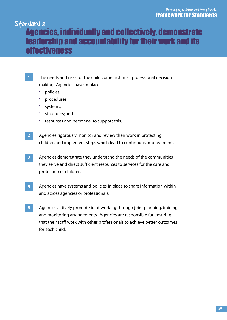# Standard <sub>8</sub> Agencies, individually and collectively, demonstrate leadership and accountability for their work and its effectiveness

- **1** The needs and risks for the child come first in all professional decision making. Agencies have in place:
	- policies;
	- procedures;
	- systems;
	- structures; and
	- resources and personnel to support this.
- **2** Agencies rigorously monitor and review their work in protecting children and implement steps which lead to continuous improvement.
- **3** Agencies demonstrate they understand the needs of the communities they serve and direct sufficient resources to services for the care and protection of children.
- **4** Agencies have systems and policies in place to share information within and across agencies or professionals.
- **5** Agencies actively promote joint working through joint planning, training and monitoring arrangements. Agencies are responsible for ensuring that their staff work with other professionals to achieve better outcomes for each child.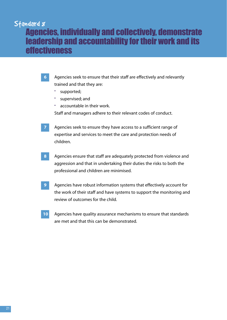# Standard <sub>8</sub> Agencies, individually and collectively, demonstrate leadership and accountability for their work and its effectiveness

- **6** Agencies seek to ensure that their staff are effectively and relevantly trained and that they are:
	- supported;
	- supervised; and
	- accountable in their work.

Staff and managers adhere to their relevant codes of conduct.

- **7** Agencies seek to ensure they have access to a sufficient range of expertise and services to meet the care and protection needs of children.
- **8** Agencies ensure that staff are adequately protected from violence and aggression and that in undertaking their duties the risks to both the professional and children are minimised.
- **9** Agencies have robust information systems that effectively account for the work of their staff and have systems to support the monitoring and review of outcomes for the child.
- **10** Agencies have quality assurance mechanisms to ensure that standards are met and that this can be demonstrated.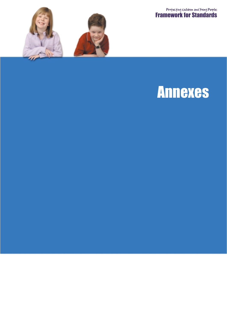Protecting Children and Young People: Framework for Standards



# Annexes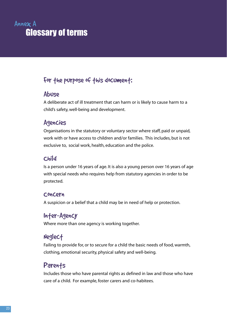# Annex A Glossary of terms

## For the purpose of this document:

#### Abuse

A deliberate act of ill treatment that can harm or is likely to cause harm to a child's safety, well-being and development.

#### Agencies

Organisations in the statutory or voluntary sector where staff, paid or unpaid, work with or have access to children and/or families. This includes, but is not exclusive to, social work, health, education and the police.

#### Child

Is a person under 16 years of age. It is also a young person over 16 years of age with special needs who requires help from statutory agencies in order to be protected.

#### Concern

A suspicion or a belief that a child may be in need of help or protection.

#### Inter-Agency

Where more than one agency is working together.

### Neglect

Failing to provide for, or to secure for a child the basic needs of food, warmth, clothing, emotional security, physical safety and well-being.

### **Parents**

Includes those who have parental rights as defined in law and those who have care of a child. For example, foster carers and co-habitees.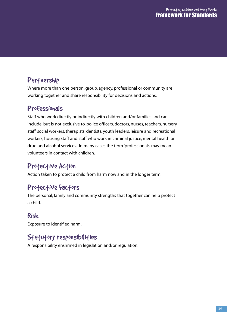# Partnership

Where more than one person, group, agency, professional or community are working together and share responsibility for decisions and actions.

#### Professionals

Staff who work directly or indirectly with children and/or families and can include, but is not exclusive to, police officers, doctors, nurses, teachers, nursery staff, social workers, therapists, dentists, youth leaders, leisure and recreational workers, housing staff and staff who work in criminal justice, mental health or drug and alcohol services. In many cases the term 'professionals' may mean volunteers in contact with children.

# Protective Action

Action taken to protect a child from harm now and in the longer term.

### Profective factors

The personal, family and community strengths that together can help protect a child.

#### Risk

Exposure to identified harm.

# Statutory responsibilities

A responsibility enshrined in legislation and/or regulation.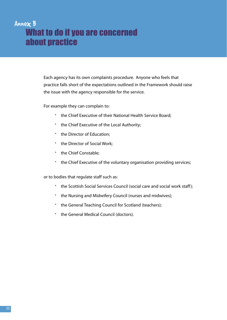# Annex B What to do if you are concerned about practice

Each agency has its own complaints procedure. Anyone who feels that practice falls short of the expectations outlined in the Framework should raise the issue with the agency responsible for the service.

For example they can complain to:

- the Chief Executive of their National Health Service Board;
- the Chief Executive of the Local Authority;
- the Director of Education;
- the Director of Social Work;
- the Chief Constable;
- the Chief Executive of the voluntary organisation providing services;

or to bodies that regulate staff such as:

- the Scottish Social Services Council (social care and social work staff);
- the Nursing and Midwifery Council (nurses and midwives);
- the General Teaching Council for Scotland (teachers);
- the General Medical Council (doctors).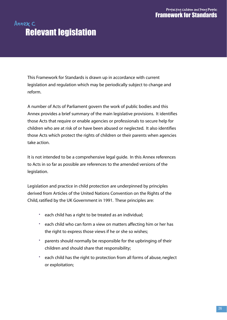# Annex C Relevant legislation

This Framework for Standards is drawn up in accordance with current legislation and regulation which may be periodically subject to change and reform.

A number of Acts of Parliament govern the work of public bodies and this Annex provides a brief summary of the main legislative provisions. It identifies those Acts that require or enable agencies or professionals to secure help for children who are at risk of or have been abused or neglected. It also identifies those Acts which protect the rights of children or their parents when agencies take action.

It is not intended to be a comprehensive legal guide. In this Annex references to Acts in so far as possible are references to the amended versions of the legislation.

Legislation and practice in child protection are underpinned by principles derived from Articles of the United Nations Convention on the Rights of the Child, ratified by the UK Government in 1991. These principles are:

- each child has a right to be treated as an individual;
- each child who can form a view on matters affecting him or her has the right to express those views if he or she so wishes;
- parents should normally be responsible for the upbringing of their children and should share that responsibility;
- each child has the right to protection from all forms of abuse, neglect or exploitation;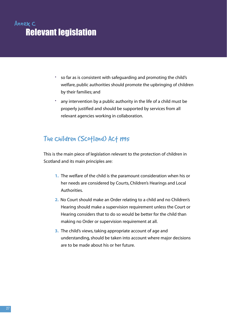# Annex C Relevant legislation

- so far as is consistent with safeguarding and promoting the child's welfare, public authorities should promote the upbringing of children by their families; and
- any intervention by a public authority in the life of a child must be properly justified and should be supported by services from all relevant agencies working in collaboration.

### The Children (Scotland) Act 1995

This is the main piece of legislation relevant to the protection of children in Scotland and its main principles are:

- **1.** The welfare of the child is the paramount consideration when his or her needs are considered by Courts, Children's Hearings and Local Authorities.
- **2.** No Court should make an Order relating to a child and no Children's Hearing should make a supervision requirement unless the Court or Hearing considers that to do so would be better for the child than making no Order or supervision requirement at all.
- **3.** The child's views, taking appropriate account of age and understanding, should be taken into account where major decisions are to be made about his or her future.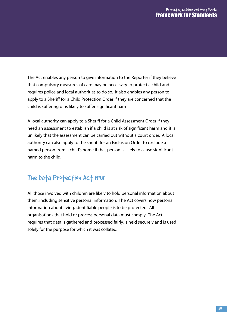#### Profecting children and Young People: Framework for Standards

The Act enables any person to give information to the Reporter if they believe that compulsory measures of care may be necessary to protect a child and requires police and local authorities to do so. It also enables any person to apply to a Sheriff for a Child Protection Order if they are concerned that the child is suffering or is likely to suffer significant harm.

A local authority can apply to a Sheriff for a Child Assessment Order if they need an assessment to establish if a child is at risk of significant harm and it is unlikely that the assessment can be carried out without a court order. A local authority can also apply to the sheriff for an Exclusion Order to exclude a named person from a child's home if that person is likely to cause significant harm to the child.

# The Data Protection Act 1998

All those involved with children are likely to hold personal information about them, including sensitive personal information. The Act covers how personal information about living, identifiable people is to be protected. All organisations that hold or process personal data must comply. The Act requires that data is gathered and processed fairly, is held securely and is used solely for the purpose for which it was collated.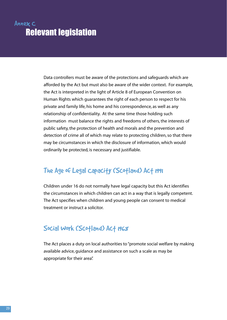# Annex C Relevant legislation

Data controllers must be aware of the protections and safeguards which are afforded by the Act but must also be aware of the wider context. For example, the Act is interpreted in the light of Article 8 of European Convention on Human Rights which guarantees the right of each person to respect for his private and family life, his home and his correspondence, as well as any relationship of confidentiality. At the same time those holding such information must balance the rights and freedoms of others, the interests of public safety, the protection of health and morals and the prevention and detection of crime all of which may relate to protecting children, so that there may be circumstances in which the disclosure of information, which would ordinarily be protected, is necessary and justifiable.

# The Age of Legal capacity (Scotland) Act 1991

Children under 16 do not normally have legal capacity but this Act identifies the circumstances in which children can act in a way that is legally competent. The Act specifies when children and young people can consent to medical treatment or instruct a solicitor.

#### Social Work (Scotland) Act 1968

The Act places a duty on local authorities to "promote social welfare by making available advice, guidance and assistance on such a scale as may be appropriate for their area".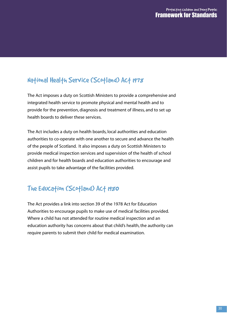# National Health Service (Scotland) Act 1978

The Act imposes a duty on Scottish Ministers to provide a comprehensive and integrated health service to promote physical and mental health and to provide for the prevention, diagnosis and treatment of illness, and to set up health boards to deliver these services.

The Act includes a duty on health boards, local authorities and education authorities to co-operate with one another to secure and advance the health of the people of Scotland. It also imposes a duty on Scottish Ministers to provide medical inspection services and supervision of the health of school children and for health boards and education authorities to encourage and assist pupils to take advantage of the facilities provided.

# The Education (Scotland) Act 1980

The Act provides a link into section 39 of the 1978 Act for Education Authorities to encourage pupils to make use of medical facilities provided. Where a child has not attended for routine medical inspection and an education authority has concerns about that child's health, the authority can require parents to submit their child for medical examination.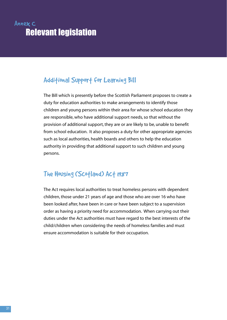# Annex C Relevant legislation

# Additional Support for Learning Bill

The Bill which is presently before the Scottish Parliament proposes to create a duty for education authorities to make arrangements to identify those children and young persons within their area for whose school education they are responsible, who have additional support needs, so that without the provision of additional support, they are or are likely to be, unable to benefit from school education. It also proposes a duty for other appropriate agencies such as local authorities, health boards and others to help the education authority in providing that additional support to such children and young persons.

# The Housing (Scotland) Act 1987

The Act requires local authorities to treat homeless persons with dependent children, those under 21 years of age and those who are over 16 who have been looked after, have been in care or have been subject to a supervision order as having a priority need for accommodation. When carrying out their duties under the Act authorities must have regard to the best interests of the child/children when considering the needs of homeless families and must ensure accommodation is suitable for their occupation.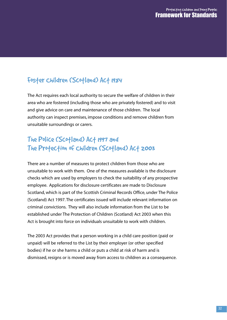# Foster Children (Scotland) Act 1984

The Act requires each local authority to secure the welfare of children in their area who are fostered (including those who are privately fostered) and to visit and give advice on care and maintenance of those children. The local authority can inspect premises, impose conditions and remove children from unsuitable surroundings or carers.

## The Police (Scotland) Act 1997 and The Protection of Children (Scotland) Act 2003

There are a number of measures to protect children from those who are unsuitable to work with them. One of the measures available is the disclosure checks which are used by employers to check the suitability of any prospective employee. Applications for disclosure certificates are made to Disclosure Scotland, which is part of the Scottish Criminal Records Office, under The Police (Scotland) Act 1997. The certificates issued will include relevant information on criminal convictions. They will also include information from the List to be established under The Protection of Children (Scotland) Act 2003 when this Act is brought into force on individuals unsuitable to work with children.

The 2003 Act provides that a person working in a child care position (paid or unpaid) will be referred to the List by their employer (or other specified bodies) if he or she harms a child or puts a child at risk of harm and is dismissed, resigns or is moved away from access to children as a consequence.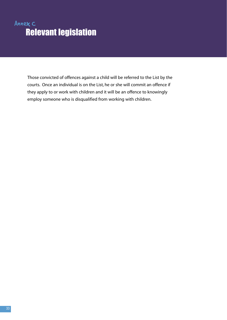# Annex C Relevant legislation

Those convicted of offences against a child will be referred to the List by the courts. Once an individual is on the List, he or she will commit an offence if they apply to or work with children and it will be an offence to knowingly employ someone who is disqualified from working with children.